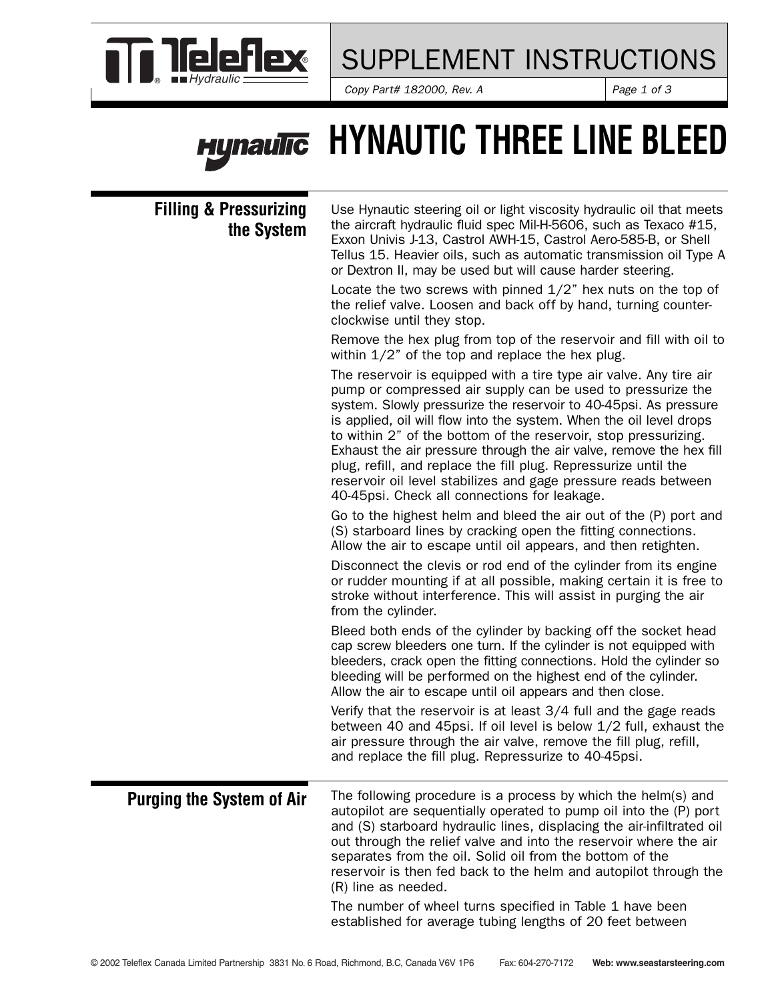

### SUPPLEMENT INSTRUCTIONS

*Copy Part# 182000, Rev. A*  $\qquad$  *Page 1 of 3* 

### **HYNAUTIC THREE LINE BLEED Hynaulic**

#### **Filling & Pressurizing the System**

Use Hynautic steering oil or light viscosity hydraulic oil that meets the aircraft hydraulic fluid spec Mil-H-5606, such as Texaco #15, Exxon Univis J-13, Castrol AWH-15, Castrol Aero-585-B, or Shell Tellus 15. Heavier oils, such as automatic transmission oil Type A or Dextron II, may be used but will cause harder steering.

Locate the two screws with pinned 1/2" hex nuts on the top of the relief valve. Loosen and back off by hand, turning counterclockwise until they stop.

Remove the hex plug from top of the reservoir and fill with oil to within  $1/2$ " of the top and replace the hex plug.

The reservoir is equipped with a tire type air valve. Any tire air pump or compressed air supply can be used to pressurize the system. Slowly pressurize the reservoir to 40-45psi. As pressure is applied, oil will flow into the system. When the oil level drops to within 2" of the bottom of the reservoir, stop pressurizing. Exhaust the air pressure through the air valve, remove the hex fill plug, refill, and replace the fill plug. Repressurize until the reservoir oil level stabilizes and gage pressure reads between 40-45psi. Check all connections for leakage.

Go to the highest helm and bleed the air out of the (P) port and (S) starboard lines by cracking open the fitting connections. Allow the air to escape until oil appears, and then retighten.

Disconnect the clevis or rod end of the cylinder from its engine or rudder mounting if at all possible, making certain it is free to stroke without interference. This will assist in purging the air from the cylinder.

Bleed both ends of the cylinder by backing off the socket head cap screw bleeders one turn. If the cylinder is not equipped with bleeders, crack open the fitting connections. Hold the cylinder so bleeding will be performed on the highest end of the cylinder. Allow the air to escape until oil appears and then close.

Verify that the reservoir is at least 3/4 full and the gage reads between 40 and 45psi. If oil level is below 1/2 full, exhaust the air pressure through the air valve, remove the fill plug, refill, and replace the fill plug. Repressurize to 40-45psi.

The following procedure is a process by which the helm(s) and autopilot are sequentially operated to pump oil into the (P) port and (S) starboard hydraulic lines, displacing the air-infiltrated oil out through the relief valve and into the reservoir where the air separates from the oil. Solid oil from the bottom of the reservoir is then fed back to the helm and autopilot through the (R) line as needed. **Purging the System of Air**

> The number of wheel turns specified in Table 1 have been established for average tubing lengths of 20 feet between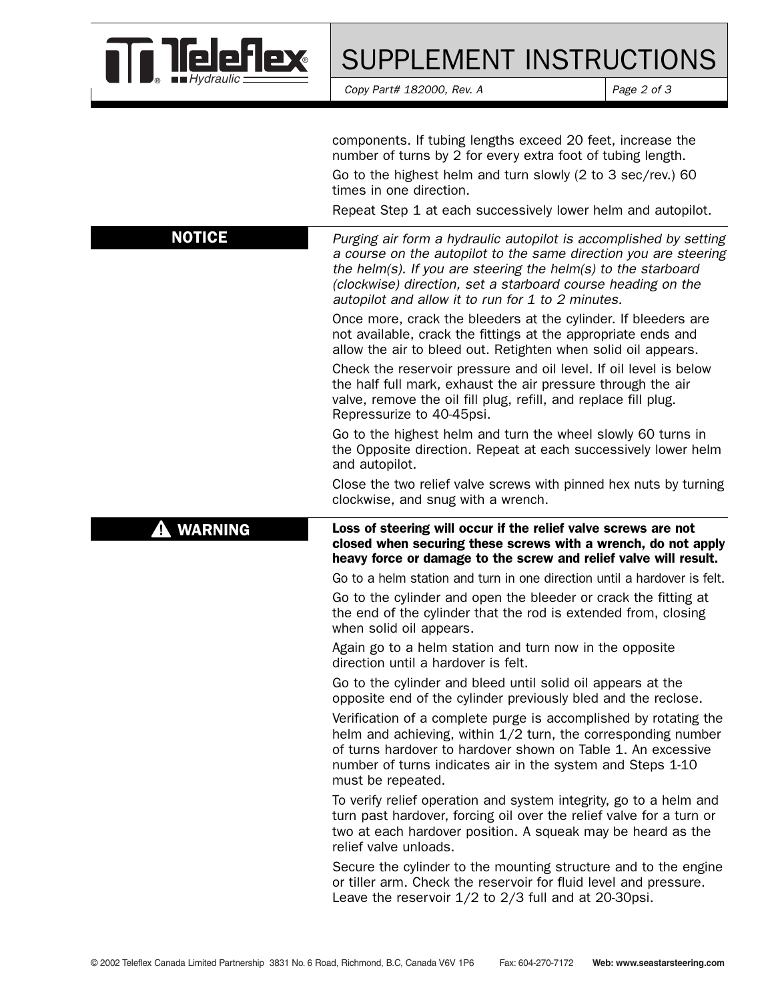

## SUPPLEMENT INSTRUCTIONS

*Copy Part# 182000, Rev. A* Page 2 of 3

|                     | components. If tubing lengths exceed 20 feet, increase the<br>number of turns by 2 for every extra foot of tubing length.<br>Go to the highest helm and turn slowly (2 to 3 sec/rev.) 60<br>times in one direction.<br>Repeat Step 1 at each successively lower helm and autopilot.                                         |  |  |  |  |
|---------------------|-----------------------------------------------------------------------------------------------------------------------------------------------------------------------------------------------------------------------------------------------------------------------------------------------------------------------------|--|--|--|--|
| <b>NOTICE</b>       | Purging air form a hydraulic autopilot is accomplished by setting<br>a course on the autopilot to the same direction you are steering<br>the helm(s). If you are steering the helm(s) to the starboard<br>(clockwise) direction, set a starboard course heading on the<br>autopilot and allow it to run for 1 to 2 minutes. |  |  |  |  |
|                     | Once more, crack the bleeders at the cylinder. If bleeders are<br>not available, crack the fittings at the appropriate ends and<br>allow the air to bleed out. Retighten when solid oil appears.                                                                                                                            |  |  |  |  |
|                     | Check the reservoir pressure and oil level. If oil level is below<br>the half full mark, exhaust the air pressure through the air<br>valve, remove the oil fill plug, refill, and replace fill plug.<br>Repressurize to 40-45psi.                                                                                           |  |  |  |  |
|                     | Go to the highest helm and turn the wheel slowly 60 turns in<br>the Opposite direction. Repeat at each successively lower helm<br>and autopilot.                                                                                                                                                                            |  |  |  |  |
|                     | Close the two relief valve screws with pinned hex nuts by turning<br>clockwise, and snug with a wrench.                                                                                                                                                                                                                     |  |  |  |  |
| <b>WARNING</b><br>4 | Loss of steering will occur if the relief valve screws are not<br>closed when securing these screws with a wrench, do not apply<br>heavy force or damage to the screw and relief valve will result.                                                                                                                         |  |  |  |  |
|                     |                                                                                                                                                                                                                                                                                                                             |  |  |  |  |
|                     | Go to a helm station and turn in one direction until a hardover is felt.                                                                                                                                                                                                                                                    |  |  |  |  |
|                     | Go to the cylinder and open the bleeder or crack the fitting at<br>the end of the cylinder that the rod is extended from, closing<br>when solid oil appears.                                                                                                                                                                |  |  |  |  |
|                     | Again go to a helm station and turn now in the opposite<br>direction until a hardover is felt.                                                                                                                                                                                                                              |  |  |  |  |
|                     | Go to the cylinder and bleed until solid oil appears at the<br>opposite end of the cylinder previously bled and the reclose.                                                                                                                                                                                                |  |  |  |  |
|                     | Verification of a complete purge is accomplished by rotating the<br>helm and achieving, within 1/2 turn, the corresponding number<br>of turns hardover to hardover shown on Table 1. An excessive<br>number of turns indicates air in the system and Steps 1-10<br>must be repeated.                                        |  |  |  |  |
|                     | To verify relief operation and system integrity, go to a helm and<br>turn past hardover, forcing oil over the relief valve for a turn or<br>two at each hardover position. A squeak may be heard as the<br>relief valve unloads.                                                                                            |  |  |  |  |